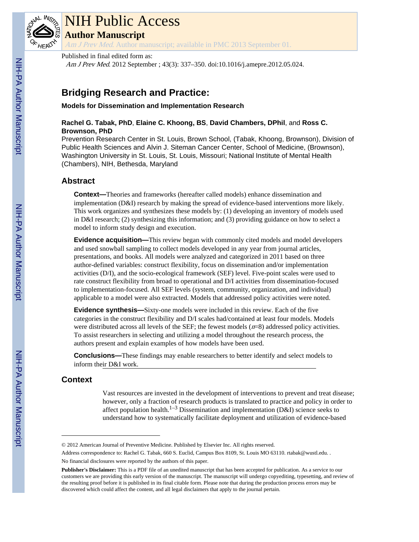

# NIH Public Access

**Author Manuscript**

Am J Prev Med. Author manuscript; available in PMC 2013 September 01.

#### Published in final edited form as:

Am J Prev Med. 2012 September ; 43(3): 337–350. doi:10.1016/j.amepre.2012.05.024.

## **Bridging Research and Practice:**

**Models for Dissemination and Implementation Research**

#### **Rachel G. Tabak, PhD**, **Elaine C. Khoong, BS**, **David Chambers, DPhil**, and **Ross C. Brownson, PhD**

Prevention Research Center in St. Louis, Brown School, (Tabak, Khoong, Brownson), Division of Public Health Sciences and Alvin J. Siteman Cancer Center, School of Medicine, (Brownson), Washington University in St. Louis, St. Louis, Missouri; National Institute of Mental Health (Chambers), NIH, Bethesda, Maryland

### **Abstract**

**Context—**Theories and frameworks (hereafter called models) enhance dissemination and implementation (D&I) research by making the spread of evidence-based interventions more likely. This work organizes and synthesizes these models by: (1) developing an inventory of models used in D&I research; (2) synthesizing this information; and (3) providing guidance on how to select a model to inform study design and execution.

**Evidence acquisition—**This review began with commonly cited models and model developers and used snowball sampling to collect models developed in any year from journal articles, presentations, and books. All models were analyzed and categorized in 2011 based on three author-defined variables: construct flexibility, focus on dissemination and/or implementation activities (D/I), and the socio-ecological framework (SEF) level. Five-point scales were used to rate construct flexibility from broad to operational and D/I activities from dissemination-focused to implementation-focused. All SEF levels (system, community, organization, and individual) applicable to a model were also extracted. Models that addressed policy activities were noted.

**Evidence synthesis—**Sixty-one models were included in this review. Each of the five categories in the construct flexibility and D/I scales had/contained at least four models. Models were distributed across all levels of the SEF; the fewest models  $(n=8)$  addressed policy activities. To assist researchers in selecting and utilizing a model throughout the research process, the authors present and explain examples of how models have been used.

**Conclusions—**These findings may enable researchers to better identify and select models to inform their D&I work.

### **Context**

Vast resources are invested in the development of interventions to prevent and treat disease; however, only a fraction of research products is translated to practice and policy in order to affect population health.<sup>1–3</sup> Dissemination and implementation (D&I) science seeks to understand how to systematically facilitate deployment and utilization of evidence-based

<sup>© 2012</sup> American Journal of Preventive Medicine. Published by Elsevier Inc. All rights reserved.

Address correspondence to: Rachel G. Tabak, 660 S. Euclid, Campus Box 8109, St. Louis MO 63110. rtabak@wustl.edu. . No financial disclosures were reported by the authors of this paper.

**Publisher's Disclaimer:** This is a PDF file of an unedited manuscript that has been accepted for publication. As a service to our customers we are providing this early version of the manuscript. The manuscript will undergo copyediting, typesetting, and review of the resulting proof before it is published in its final citable form. Please note that during the production process errors may be discovered which could affect the content, and all legal disclaimers that apply to the journal pertain.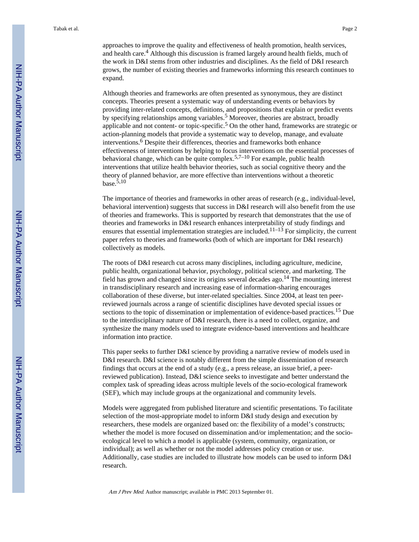approaches to improve the quality and effectiveness of health promotion, health services, and health care.<sup>4</sup> Although this discussion is framed largely around health fields, much of the work in D&I stems from other industries and disciplines. As the field of D&I research grows, the number of existing theories and frameworks informing this research continues to expand.

Although theories and frameworks are often presented as synonymous, they are distinct concepts. Theories present a systematic way of understanding events or behaviors by providing inter-related concepts, definitions, and propositions that explain or predict events by specifying relationships among variables.<sup>5</sup> Moreover, theories are abstract, broadly applicable and not content- or topic-specific.<sup>5</sup> On the other hand, frameworks are strategic or action-planning models that provide a systematic way to develop, manage, and evaluate interventions.<sup>6</sup> Despite their differences, theories and frameworks both enhance effectiveness of interventions by helping to focus interventions on the essential processes of behavioral change, which can be quite complex.<sup>5,7–10</sup> For example, public health interventions that utilize health behavior theories, such as social cognitive theory and the theory of planned behavior, are more effective than interventions without a theoretic base.5,10

The importance of theories and frameworks in other areas of research (e.g., individual-level, behavioral intervention) suggests that success in D&I research will also benefit from the use of theories and frameworks. This is supported by research that demonstrates that the use of theories and frameworks in D&I research enhances interpretability of study findings and ensures that essential implementation strategies are included.<sup>11–13</sup> For simplicity, the current paper refers to theories and frameworks (both of which are important for D&I research) collectively as models.

The roots of D&I research cut across many disciplines, including agriculture, medicine, public health, organizational behavior, psychology, political science, and marketing. The field has grown and changed since its origins several decades ago.<sup>14</sup> The mounting interest in transdisciplinary research and increasing ease of information-sharing encourages collaboration of these diverse, but inter-related specialties. Since 2004, at least ten peerreviewed journals across a range of scientific disciplines have devoted special issues or sections to the topic of dissemination or implementation of evidence-based practices.<sup>15</sup> Due to the interdisciplinary nature of D&I research, there is a need to collect, organize, and synthesize the many models used to integrate evidence-based interventions and healthcare information into practice.

This paper seeks to further D&I science by providing a narrative review of models used in D&I research. D&I science is notably different from the simple dissemination of research findings that occurs at the end of a study (e.g., a press release, an issue brief, a peerreviewed publication). Instead, D&I science seeks to investigate and better understand the complex task of spreading ideas across multiple levels of the socio-ecological framework (SEF), which may include groups at the organizational and community levels.

Models were aggregated from published literature and scientific presentations. To facilitate selection of the most-appropriate model to inform D&I study design and execution by researchers, these models are organized based on: the flexibility of a model's constructs; whether the model is more focused on dissemination and/or implementation; and the socioecological level to which a model is applicable (system, community, organization, or individual); as well as whether or not the model addresses policy creation or use. Additionally, case studies are included to illustrate how models can be used to inform D&I research.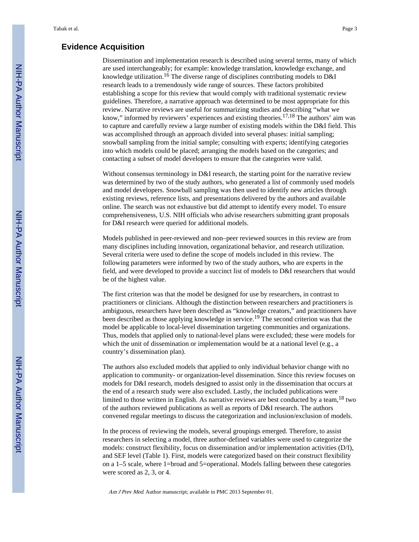#### **Evidence Acquisition**

Dissemination and implementation research is described using several terms, many of which are used interchangeably; for example: knowledge translation, knowledge exchange, and knowledge utilization.<sup>16</sup> The diverse range of disciplines contributing models to  $D&I$ research leads to a tremendously wide range of sources. These factors prohibited establishing a scope for this review that would comply with traditional systematic review guidelines. Therefore, a narrative approach was determined to be most appropriate for this review. Narrative reviews are useful for summarizing studies and describing "what we know," informed by reviewers' experiences and existing theories.<sup>17,18</sup> The authors' aim was to capture and carefully review a large number of existing models within the D&I field. This was accomplished through an approach divided into several phases: initial sampling; snowball sampling from the initial sample; consulting with experts; identifying categories into which models could be placed; arranging the models based on the categories; and contacting a subset of model developers to ensure that the categories were valid.

Without consensus terminology in D&I research, the starting point for the narrative review was determined by two of the study authors, who generated a list of commonly used models and model developers. Snowball sampling was then used to identify new articles through existing reviews, reference lists, and presentations delivered by the authors and available online. The search was not exhaustive but did attempt to identify every model. To ensure comprehensiveness, U.S. NIH officials who advise researchers submitting grant proposals for D&I research were queried for additional models.

Models published in peer-reviewed and non–peer reviewed sources in this review are from many disciplines including innovation, organizational behavior, and research utilization. Several criteria were used to define the scope of models included in this review. The following parameters were informed by two of the study authors, who are experts in the field, and were developed to provide a succinct list of models to D&I researchers that would be of the highest value.

The first criterion was that the model be designed for use by researchers, in contrast to practitioners or clinicians. Although the distinction between researchers and practitioners is ambiguous, researchers have been described as "knowledge creators," and practitioners have been described as those applying knowledge in service.19 The second criterion was that the model be applicable to local-level dissemination targeting communities and organizations. Thus, models that applied only to national-level plans were excluded; these were models for which the unit of dissemination or implementation would be at a national level (e.g., a country's dissemination plan).

The authors also excluded models that applied to only individual behavior change with no application to community- or organization-level dissemination. Since this review focuses on models for D&I research, models designed to assist only in the dissemination that occurs at the end of a research study were also excluded. Lastly, the included publications were limited to those written in English. As narrative reviews are best conducted by a team,18 two of the authors reviewed publications as well as reports of D&I research. The authors convened regular meetings to discuss the categorization and inclusion/exclusion of models.

In the process of reviewing the models, several groupings emerged. Therefore, to assist researchers in selecting a model, three author-defined variables were used to categorize the models: construct flexibility, focus on dissemination and/or implementation activities (D/I), and SEF level (Table 1). First, models were categorized based on their construct flexibility on a 1–5 scale, where 1=broad and 5=operational. Models falling between these categories were scored as 2, 3, or 4.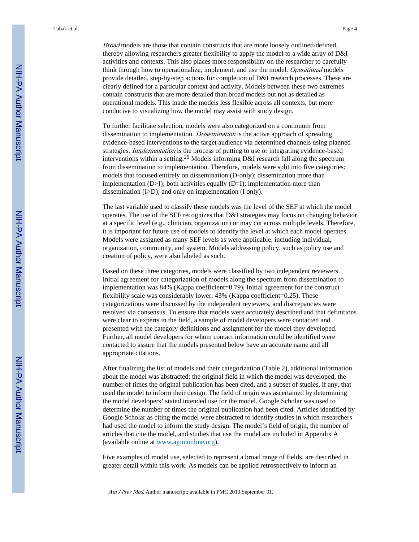Broad models are those that contain constructs that are more loosely outlined/defined, thereby allowing researchers greater flexibility to apply the model to a wide array of D&I activities and contexts. This also places more responsibility on the researcher to carefully think through how to operationalize, implement, and use the model. *Operational* models provide detailed, step-by-step actions for completion of D&I research processes. These are clearly defined for a particular context and activity. Models between these two extremes contain constructs that are more detailed than broad models but not as detailed as operational models. This made the models less flexible across all contexts, but more conducive to visualizing how the model may assist with study design.

To further facilitate selection, models were also categorized on a continuum from dissemination to implementation. *Dissemination* is the active approach of spreading evidence-based interventions to the target audience via determined channels using planned strategies. Implementation is the process of putting to use or integrating evidence-based interventions within a setting.20 Models informing D&I research fall along the spectrum from dissemination to implementation. Therefore, models were split into five categories: models that focused entirely on dissemination (D-only); dissemination more than implementation (D>I); both activities equally (D=I); implementation more than dissemination (I>D); and only on implementation (I only).

The last variable used to classify these models was the level of the SEF at which the model operates. The use of the SEF recognizes that D&I strategies may focus on changing behavior at a specific level (e.g., clinician, organization) or may cut across multiple levels. Therefore, it is important for future use of models to identify the level at which each model operates. Models were assigned as many SEF levels as were applicable, including individual, organization, community, and system. Models addressing policy, such as policy use and creation of policy, were also labeled as such.

Based on these three categories, models were classified by two independent reviewers. Initial agreement for categorization of models along the spectrum from dissemination to implementation was 84% (Kappa coefficient=0.79). Initial agreement for the construct flexibility scale was considerably lower: 43% (Kappa coefficient=0.25). These categorizations were discussed by the independent reviewers, and discrepancies were resolved via consensus. To ensure that models were accurately described and that definitions were clear to experts in the field, a sample of model developers were contacted and presented with the category definitions and assignment for the model they developed. Further, all model developers for whom contact information could be identified were contacted to assure that the models presented below have an accurate name and all appropriate citations.

After finalizing the list of models and their categorization (Table 2), additional information about the model was abstracted: the original field in which the model was developed, the number of times the original publication has been cited, and a subset of studies, if any, that used the model to inform their design. The field of origin was ascertained by determining the model developers' stated intended use for the model. Google Scholar was used to determine the number of times the original publication had been cited. Articles identified by Google Scholar as citing the model were abstracted to identify studies in which researchers had used the model to inform the study design. The model's field of origin, the number of articles that cite the model, and studies that use the model are included in Appendix A (available online at [www.ajpmonline.org](http://www.ajpmonline.org)).

Five examples of model use, selected to represent a broad range of fields, are described in greater detail within this work. As models can be applied retrospectively to inform an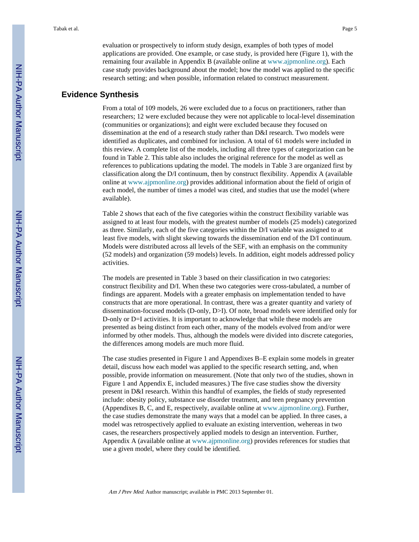evaluation or prospectively to inform study design, examples of both types of model applications are provided. One example, or case study, is provided here (Figure 1), with the remaining four available in Appendix B (available online at [www.ajpmonline.org](http://www.ajpmonline.org)). Each case study provides background about the model; how the model was applied to the specific research setting; and when possible, information related to construct measurement.

#### **Evidence Synthesis**

From a total of 109 models, 26 were excluded due to a focus on practitioners, rather than researchers; 12 were excluded because they were not applicable to local-level dissemination (communities or organizations); and eight were excluded because they focused on dissemination at the end of a research study rather than D&I research. Two models were identified as duplicates, and combined for inclusion. A total of 61 models were included in this review. A complete list of the models, including all three types of categorization can be found in Table 2. This table also includes the original reference for the model as well as references to publications updating the model. The models in Table 3 are organized first by classification along the D/I continuum, then by construct flexibility. Appendix A (available online at [www.ajpmonline.org](http://www.ajpmonline.org)) provides additional information about the field of origin of each model, the number of times a model was cited, and studies that use the model (where available).

Table 2 shows that each of the five categories within the construct flexibility variable was assigned to at least four models, with the greatest number of models (25 models) categorized as three. Similarly, each of the five categories within the D/I variable was assigned to at least five models, with slight skewing towards the dissemination end of the D/I continuum. Models were distributed across all levels of the SEF, with an emphasis on the community (52 models) and organization (59 models) levels. In addition, eight models addressed policy activities.

The models are presented in Table 3 based on their classification in two categories: construct flexibility and D/I. When these two categories were cross-tabulated, a number of findings are apparent. Models with a greater emphasis on implementation tended to have constructs that are more operational. In contrast, there was a greater quantity and variety of dissemination-focused models (D-only, D>I). Of note, broad models were identified only for D-only or D=I activities. It is important to acknowledge that while these models are presented as being distinct from each other, many of the models evolved from and/or were informed by other models. Thus, although the models were divided into discrete categories, the differences among models are much more fluid.

The case studies presented in Figure 1 and Appendixes B–E explain some models in greater detail, discuss how each model was applied to the specific research setting, and, when possible, provide information on measurement. (Note that only two of the studies, shown in Figure 1 and Appendix E, included measures.) The five case studies show the diversity present in D&I research. Within this handful of examples, the fields of study represented include: obesity policy, substance use disorder treatment, and teen pregnancy prevention (Appendixes B, C, and E, respectively, available online at [www.ajpmonline.org](http://www.ajpmonline.org)). Further, the case studies demonstrate the many ways that a model can be applied. In three cases, a model was retrospectively applied to evaluate an existing intervention, wehereas in two cases, the researchers prospectively applied models to design an intervention. Further, Appendix A (available online at [www.ajpmonline.org\)](http://www.ajpmonline.org) provides references for studies that use a given model, where they could be identified.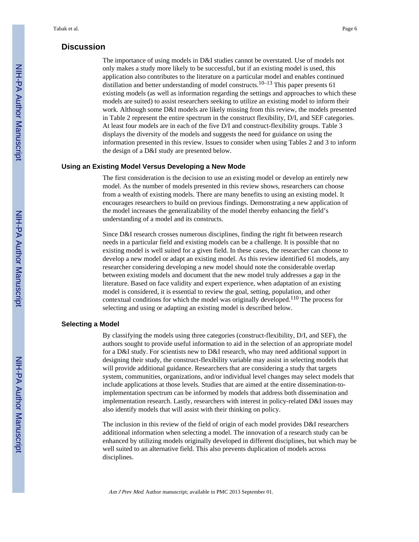#### **Discussion**

The importance of using models in D&I studies cannot be overstated. Use of models not only makes a study more likely to be successful, but if an existing model is used, this application also contributes to the literature on a particular model and enables continued distillation and better understanding of model constructs.<sup>10–13</sup> This paper presents 61 existing models (as well as information regarding the settings and approaches to which these models are suited) to assist researchers seeking to utilize an existing model to inform their work. Although some D&I models are likely missing from this review, the models presented in Table 2 represent the entire spectrum in the construct flexibility, D/I, and SEF categories. At least four models are in each of the five D/I and construct-flexibility groups. Table 3 displays the diversity of the models and suggests the need for guidance on using the information presented in this review. Issues to consider when using Tables 2 and 3 to inform the design of a D&I study are presented below.

#### **Using an Existing Model Versus Developing a New Mode**

The first consideration is the decision to use an existing model or develop an entirely new model. As the number of models presented in this review shows, researchers can choose from a wealth of existing models. There are many benefits to using an existing model. It encourages researchers to build on previous findings. Demonstrating a new application of the model increases the generalizability of the model thereby enhancing the field's understanding of a model and its constructs.

Since D&I research crosses numerous disciplines, finding the right fit between research needs in a particular field and existing models can be a challenge. It is possible that no existing model is well suited for a given field. In these cases, the researcher can choose to develop a new model or adapt an existing model. As this review identified 61 models, any researcher considering developing a new model should note the considerable overlap between existing models and document that the new model truly addresses a gap in the literature. Based on face validity and expert experience, when adaptation of an existing model is considered, it is essential to review the goal, setting, population, and other contextual conditions for which the model was originally developed.<sup>110</sup> The process for selecting and using or adapting an existing model is described below.

#### **Selecting a Model**

By classifying the models using three categories (construct-flexibility, D/I, and SEF), the authors sought to provide useful information to aid in the selection of an appropriate model for a D&I study. For scientists new to D&I research, who may need additional support in designing their study, the construct-flexibility variable may assist in selecting models that will provide additional guidance. Researchers that are considering a study that targets system, communities, organizations, and/or individual level changes may select models that include applications at those levels. Studies that are aimed at the entire dissemination-toimplementation spectrum can be informed by models that address both dissemination and implementation research. Lastly, researchers with interest in policy-related D&I issues may also identify models that will assist with their thinking on policy.

The inclusion in this review of the field of origin of each model provides D&I researchers additional information when selecting a model. The innovation of a research study can be enhanced by utilizing models originally developed in different disciplines, but which may be well suited to an alternative field. This also prevents duplication of models across disciplines.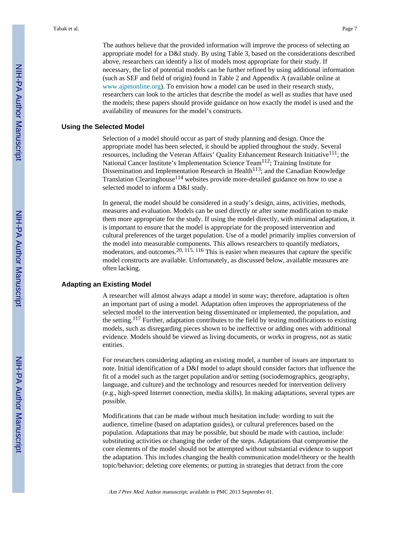The authors believe that the provided information will improve the process of selecting an appropriate model for a D&I study. By using Table 3, based on the considerations described above, researchers can identify a list of models most appropriate for their study. If necessary, the list of potential models can be further refined by using additional information (such as SEF and field of origin) found in Table 2 and Appendix A (available online at [www.ajpmonline.org\)](http://www.ajpmonline.org). To envision how a model can be used in their research study, researchers can look to the articles that describe the model as well as studies that have used the models; these papers should provide guidance on how exactly the model is used and the availability of measures for the model's constructs.

#### **Using the Selected Model**

Selection of a model should occur as part of study planning and design. Once the appropriate model has been selected, it should be applied throughout the study. Several resources, including the Veteran Affairs' Quality Enhancement Research Initiative<sup>111</sup>; the National Cancer Institute's Implementation Science Team112; Training Institute for Dissemination and Implementation Research in Health<sup>113</sup>; and the Canadian Knowledge Translation Clearinghouse<sup>114</sup> websites provide more-detailed guidance on how to use a selected model to inform a D&I study.

In general, the model should be considered in a study's design, aims, activities, methods, measures and evaluation. Models can be used directly or after some modification to make them more appropriate for the study. If using the model directly, with minimal adaptation, it is important to ensure that the model is appropriate for the proposed intervention and cultural preferences of the target population. Use of a model primarily implies conversion of the model into measurable components. This allows researchers to quantify mediators, moderators, and outcomes.<sup>20, 115, 116</sup> This is easier when measures that capture the specific model constructs are available. Unfortunately, as discussed below, available measures are often lacking.

#### **Adapting an Existing Model**

A researcher will almost always adapt a model in some way; therefore, adaptation is often an important part of using a model. Adaptation often improves the appropriateness of the selected model to the intervention being disseminated or implemented, the population, and the setting.<sup>117</sup> Further, adaptation contributes to the field by testing modifications to existing models, such as disregarding pieces shown to be ineffective or adding ones with additional evidence. Models should be viewed as living documents, or works in progress, not as static entities.

For researchers considering adapting an existing model, a number of issues are important to note. Initial identification of a D&I model to adapt should consider factors that influence the fit of a model such as the target population and/or setting (sociodemographics, geography, language, and culture) and the technology and resources needed for intervention delivery (e.g., high-speed Internet connection, media skills). In making adaptations, several types are possible.

Modifications that can be made without much hesitation include: wording to suit the audience, timeline (based on adaptation guides), or cultural preferences based on the population. Adaptations that may be possible, but should be made with caution, include: substituting activities or changing the order of the steps. Adaptations that compromise the core elements of the model should not be attempted without substantial evidence to support the adaptation. This includes changing the health communication model/theory or the health topic/behavior; deleting core elements; or putting in strategies that detract from the core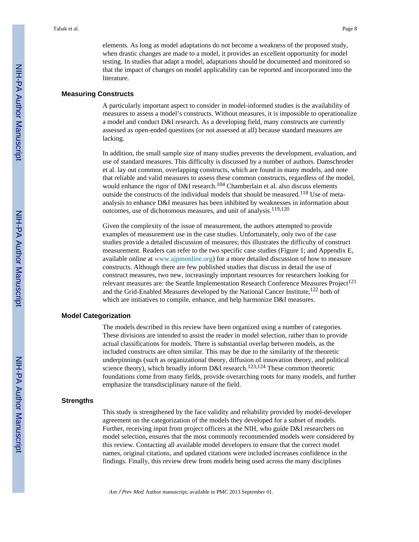elements. As long as model adaptations do not become a weakness of the proposed study, when drastic changes are made to a model, it provides an excellent opportunity for model testing. In studies that adapt a model, adaptations should be documented and monitored so that the impact of changes on model applicability can be reported and incorporated into the literature.

#### **Measuring Constructs**

A particularly important aspect to consider in model-informed studies is the availability of measures to assess a model's constructs. Without measures, it is impossible to operationalize a model and conduct D&I research. As a developing field, many constructs are currently assessed as open-ended questions (or not assessed at all) because standard measures are lacking.

In addition, the small sample size of many studies prevents the development, evaluation, and use of standard measures. This difficulty is discussed by a number of authors. Damschroder et al. lay out common, overlapping constructs, which are found in many models, and note that reliable and valid measures to assess these common constructs, regardless of the model, would enhance the rigor of D&I research.<sup>104</sup> Chamberlain et al. also discuss elements outside the constructs of the individual models that should be measured.<sup>118</sup> Use of metaanalysis to enhance D&I measures has been inhibited by weaknesses in information about outcomes, use of dichotomous measures, and unit of analysis.119,120

Given the complexity of the issue of measurement, the authors attempted to provide examples of measurement use in the case studies. Unfortunately, only two of the case studies provide a detailed discussion of measures; this illustrates the difficulty of construct measurement. Readers can refer to the two specific case studies (Figure 1; and Appendix E, available online at [www.ajpmonline.org\)](http://www.ajpmonline.org) for a more detailed discussion of how to measure constructs. Although there are few published studies that discuss in detail the use of construct measures, two new, increasingly important resources for researchers looking for relevant measures are: the Seattle Implementation Research Conference Measures Project<sup>121</sup> and the Grid-Enabled Measures developed by the National Cancer Institute, $122$  both of which are initiatives to compile, enhance, and help harmonize D&I measures.

#### **Model Categorization**

The models described in this review have been organized using a number of categories. These divisions are intended to assist the reader in model selection, rather than to provide actual classifications for models. There is substantial overlap between models, as the included constructs are often similar. This may be due to the similarity of the theoretic underpinnings (such as organizational theory, diffusion of innovation theory, and political science theory), which broadly inform D&I research.<sup>123,124</sup> These common theoretic foundations come from many fields, provide overarching roots for many models, and further emphasize the transdisciplinary nature of the field.

#### **Strengths**

This study is strengthened by the face validity and reliability provided by model-developer agreement on the categorization of the models they developed for a subset of models. Further, receiving input from project officers at the NIH, who guide D&I researchers on model selection, ensures that the most commonly recommended models were considered by this review. Contacting all available model developers to ensure that the correct model names, original citations, and updated citations were included increases confidence in the findings. Finally, this review drew from models being used across the many disciplines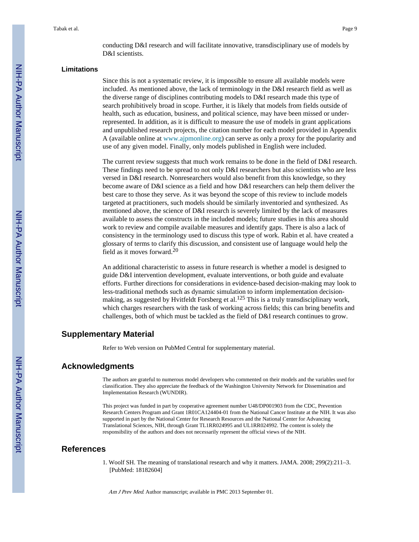conducting D&I research and will facilitate innovative, transdisciplinary use of models by D&I scientists.

#### **Limitations**

Since this is not a systematic review, it is impossible to ensure all available models were included. As mentioned above, the lack of terminology in the D&I research field as well as the diverse range of disciplines contributing models to D&I research made this type of search prohibitively broad in scope. Further, it is likely that models from fields outside of health, such as education, business, and political science, may have been missed or underrepresented. In addition, as it is difficult to measure the use of models in grant applications and unpublished research projects, the citation number for each model provided in Appendix A (available online at [www.ajpmonline.org\)](http://www.ajpmonline.org) can serve as only a proxy for the popularity and use of any given model. Finally, only models published in English were included.

The current review suggests that much work remains to be done in the field of D&I research. These findings need to be spread to not only D&I researchers but also scientists who are less versed in D&I research. Nonresearchers would also benefit from this knowledge, so they become aware of D&I science as a field and how D&I researchers can help them deliver the best care to those they serve. As it was beyond the scope of this review to include models targeted at practitioners, such models should be similarly inventoried and synthesized. As mentioned above, the science of D&I research is severely limited by the lack of measures available to assess the constructs in the included models; future studies in this area should work to review and compile available measures and identify gaps. There is also a lack of consistency in the terminology used to discuss this type of work. Rabin et al. have created a glossary of terms to clarify this discussion, and consistent use of language would help the field as it moves forward.<sup>20</sup>

An additional characteristic to assess in future research is whether a model is designed to guide D&I intervention development, evaluate interventions, or both guide and evaluate efforts. Further directions for considerations in evidence-based decision-making may look to less-traditional methods such as dynamic simulation to inform implementation decisionmaking, as suggested by Hvitfeldt Forsberg et al.<sup>125</sup> This is a truly transdisciplinary work, which charges researchers with the task of working across fields; this can bring benefits and challenges, both of which must be tackled as the field of D&I research continues to grow.

#### **Supplementary Material**

Refer to Web version on PubMed Central for supplementary material.

#### **Acknowledgments**

The authors are grateful to numerous model developers who commented on their models and the variables used for classification. They also appreciate the feedback of the Washington University Network for Dissemination and Implementation Research (WUNDIR).

This project was funded in part by cooperative agreement number U48/DP001903 from the CDC, Prevention Research Centers Program and Grant 1R01CA124404-01 from the National Cancer Institute at the NIH. It was also supported in part by the National Center for Research Resources and the National Center for Advancing Translational Sciences, NIH, through Grant TL1RR024995 and UL1RR024992. The content is solely the responsibility of the authors and does not necessarily represent the official views of the NIH.

#### **References**

1. Woolf SH. The meaning of translational research and why it matters. JAMA. 2008; 299(2):211–3. [PubMed: 18182604]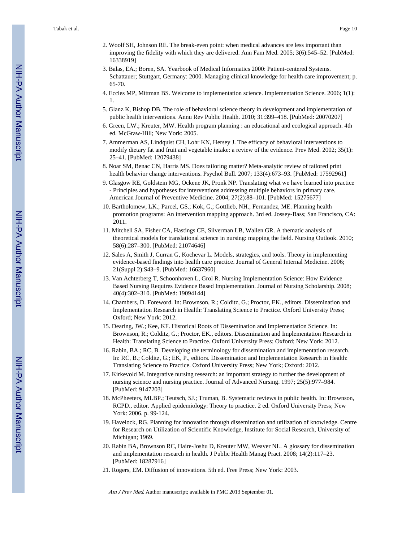- 2. Woolf SH, Johnson RE. The break-even point: when medical advances are less important than improving the fidelity with which they are delivered. Ann Fam Med. 2005; 3(6):545–52. [PubMed: 16338919]
- 3. Balas, EA.; Boren, SA. Yearbook of Medical Informatics 2000: Patient-centered Systems. Schattauer; Stuttgart, Germany: 2000. Managing clinical knowledge for health care improvement; p. 65-70.
- 4. Eccles MP, Mittman BS. Welcome to implementation science. Implementation Science. 2006; 1(1): 1.
- 5. Glanz K, Bishop DB. The role of behavioral science theory in development and implementation of public health interventions. Annu Rev Public Health. 2010; 31:399–418. [PubMed: 20070207]
- 6. Green, LW.; Kreuter, MW. Health program planning : an educational and ecological approach. 4th ed. McGraw-Hill; New York: 2005.
- 7. Ammerman AS, Lindquist CH, Lohr KN, Hersey J. The efficacy of behavioral interventions to modify dietary fat and fruit and vegetable intake: a review of the evidence. Prev Med. 2002; 35(1): 25–41. [PubMed: 12079438]
- 8. Noar SM, Benac CN, Harris MS. Does tailoring matter? Meta-analytic review of tailored print health behavior change interventions. Psychol Bull. 2007; 133(4):673–93. [PubMed: 17592961]
- 9. Glasgow RE, Goldstein MG, Ockene JK, Pronk NP. Translating what we have learned into practice - Principles and hypotheses for interventions addressing multiple behaviors in primary care. American Journal of Preventive Medicine. 2004; 27(2):88–101. [PubMed: 15275677]
- 10. Bartholomew, LK.; Parcel, GS.; Kok, G.; Gottlieb, NH.; Fernandez, ME. Planning health promotion programs: An intervention mapping approach. 3rd ed. Jossey-Bass; San Francisco, CA: 2011.
- 11. Mitchell SA, Fisher CA, Hastings CE, Silverman LB, Wallen GR. A thematic analysis of theoretical models for translational science in nursing: mapping the field. Nursing Outlook. 2010; 58(6):287–300. [PubMed: 21074646]
- 12. Sales A, Smith J, Curran G, Kochevar L. Models, strategies, and tools. Theory in implementing evidence-based findings into health care practice. Journal of General Internal Medicine. 2006; 21(Suppl 2):S43–9. [PubMed: 16637960]
- 13. Van Achterberg T, Schoonhoven L, Grol R. Nursing Implementation Science: How Evidence Based Nursing Requires Evidence Based Implementation. Journal of Nursing Scholarship. 2008; 40(4):302–310. [PubMed: 19094144]
- 14. Chambers, D. Foreword. In: Brownson, R.; Colditz, G.; Proctor, EK., editors. Dissemination and Implementation Research in Health: Translating Science to Practice. Oxford University Press; Oxford; New York: 2012.
- 15. Dearing, JW.; Kee, KF. Historical Roots of Dissemination and Implementation Science. In: Brownson, R.; Colditz, G.; Proctor, EK., editors. Dissemination and Implementation Research in Health: Translating Science to Practice. Oxford University Press; Oxford; New York: 2012.
- 16. Rabin, BA.; RC, B. Developing the terminology for dissemination and implementation research. In: RC, B.; Colditz, G.; EK, P., editors. Dissemination and Implementation Research in Health: Translating Science to Practice. Oxford University Press; New York; Oxford: 2012.
- 17. Kirkevold M. Integrative nursing research: an important strategy to further the development of nursing science and nursing practice. Journal of Advanced Nursing. 1997; 25(5):977–984. [PubMed: 9147203]
- 18. McPheeters, MLBP.; Teutsch, SJ.; Truman, B. Systematic reviews in public health. In: Brownson, RCPD., editor. Applied epidemiology: Theory to practice. 2 ed. Oxford University Press; New York: 2006. p. 99-124.
- 19. Havelock, RG. Planning for innovation through dissemination and utilization of knowledge. Centre for Research on Utilization of Scientific Knowledge, Institute for Social Research, University of Michigan; 1969.
- 20. Rabin BA, Brownson RC, Haire-Joshu D, Kreuter MW, Weaver NL. A glossary for dissemination and implementation research in health. J Public Health Manag Pract. 2008; 14(2):117–23. [PubMed: 18287916]
- 21. Rogers, EM. Diffusion of innovations. 5th ed. Free Press; New York: 2003.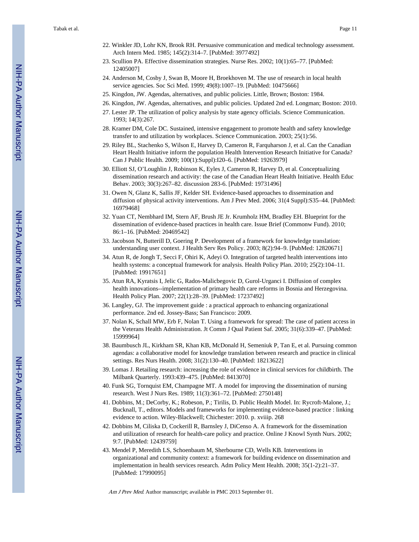- 22. Winkler JD, Lohr KN, Brook RH. Persuasive communication and medical technology assessment. Arch Intern Med. 1985; 145(2):314–7. [PubMed: 3977492]
- 23. Scullion PA. Effective dissemination strategies. Nurse Res. 2002; 10(1):65–77. [PubMed: 12405007]
- 24. Anderson M, Cosby J, Swan B, Moore H, Broekhoven M. The use of research in local health service agencies. Soc Sci Med. 1999; 49(8):1007–19. [PubMed: 10475666]
- 25. Kingdon, JW. Agendas, alternatives, and public policies. Little, Brown; Boston: 1984.
- 26. Kingdon, JW. Agendas, alternatives, and public policies. Updated 2nd ed. Longman; Boston: 2010.
- 27. Lester JP. The utilization of policy analysis by state agency officials. Science Communication. 1993; 14(3):267.
- 28. Kramer DM, Cole DC. Sustained, intensive engagement to promote health and safety knowledge transfer to and utilization by workplaces. Science Communication. 2003; 25(1):56.
- 29. Riley BL, Stachenko S, Wilson E, Harvey D, Cameron R, Farquharson J, et al. Can the Canadian Heart Health Initiative inform the population Health Intervention Research Initiative for Canada? Can J Public Health. 2009; 100(1):Suppl):I20–6. [PubMed: 19263979]
- 30. Elliott SJ, O'Loughlin J, Robinson K, Eyles J, Cameron R, Harvey D, et al. Conceptualizing dissemination research and activity: the case of the Canadian Heart Health Initiative. Health Educ Behav. 2003; 30(3):267–82. discussion 283-6. [PubMed: 19731496]
- 31. Owen N, Glanz K, Sallis JF, Kelder SH. Evidence-based approaches to dissemination and diffusion of physical activity interventions. Am J Prev Med. 2006; 31(4 Suppl):S35–44. [PubMed: 16979468]
- 32. Yuan CT, Nembhard IM, Stern AF, Brush JE Jr. Krumholz HM, Bradley EH. Blueprint for the dissemination of evidence-based practices in health care. Issue Brief (Commonw Fund). 2010; 86:1–16. [PubMed: 20469542]
- 33. Jacobson N, Butterill D, Goering P. Development of a framework for knowledge translation: understanding user context. J Health Serv Res Policy. 2003; 8(2):94–9. [PubMed: 12820671]
- 34. Atun R, de Jongh T, Secci F, Ohiri K, Adeyi O. Integration of targeted health interventions into health systems: a conceptual framework for analysis. Health Policy Plan. 2010; 25(2):104–11. [PubMed: 19917651]
- 35. Atun RA, Kyratsis I, Jelic G, Rados-Malicbegovic D, Gurol-Urganci I. Diffusion of complex health innovations--implementation of primary health care reforms in Bosnia and Herzegovina. Health Policy Plan. 2007; 22(1):28–39. [PubMed: 17237492]
- 36. Langley, GJ. The improvement guide : a practical approach to enhancing organizational performance. 2nd ed. Jossey-Bass; San Francisco: 2009.
- 37. Nolan K, Schall MW, Erb F, Nolan T. Using a framework for spread: The case of patient access in the Veterans Health Administration. Jt Comm J Qual Patient Saf. 2005; 31(6):339–47. [PubMed: 15999964]
- 38. Baumbusch JL, Kirkham SR, Khan KB, McDonald H, Semeniuk P, Tan E, et al. Pursuing common agendas: a collaborative model for knowledge translation between research and practice in clinical settings. Res Nurs Health. 2008; 31(2):130–40. [PubMed: 18213622]
- 39. Lomas J. Retailing research: increasing the role of evidence in clinical services for childbirth. The Milbank Quarterly. 1993:439–475. [PubMed: 8413070]
- 40. Funk SG, Tornquist EM, Champagne MT. A model for improving the dissemination of nursing research. West J Nurs Res. 1989; 11(3):361–72. [PubMed: 2750148]
- 41. Dobbins, M.; DeCorby, K.; Robeson, P.; Tirilis, D. Public Health Model. In: Rycroft-Malone, J.; Bucknall, T., editors. Models and frameworks for implementing evidence-based practice : linking evidence to action. Wiley-Blackwell; Chichester: 2010. p. xviiip. 268
- 42. Dobbins M, Ciliska D, Cockerill R, Barnsley J, DiCenso A. A framework for the dissemination and utilization of research for health-care policy and practice. Online J Knowl Synth Nurs. 2002; 9:7. [PubMed: 12439759]
- 43. Mendel P, Meredith LS, Schoenbaum M, Sherbourne CD, Wells KB. Interventions in organizational and community context: a framework for building evidence on dissemination and implementation in health services research. Adm Policy Ment Health. 2008; 35(1-2):21–37. [PubMed: 17990095]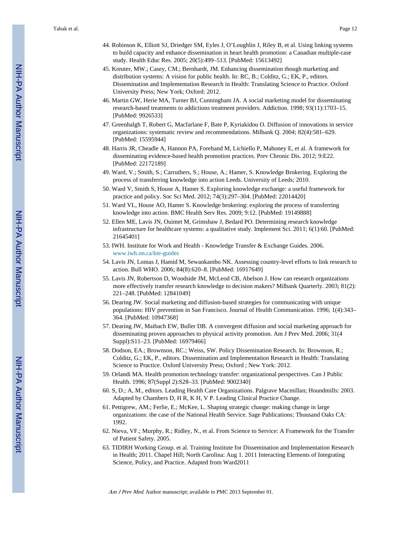- 44. Robinson K, Elliott SJ, Driedger SM, Eyles J, O'Loughlin J, Riley B, et al. Using linking systems to build capacity and enhance dissemination in heart health promotion: a Canadian multiple-case study. Health Educ Res. 2005; 20(5):499–513. [PubMed: 15613492]
- 45. Kreuter, MW.; Casey, CM.; Bernhardt, JM. Enhancing dissemination though marketing and distribution systems: A vision for public health. In: RC, B.; Colditz, G.; EK, P., editors. Dissemination and Implementation Research in Health: Translating Science to Practice. Oxford University Press; New York; Oxford: 2012.
- 46. Martin GW, Herie MA, Turner BJ, Cunningham JA. A social marketing model for disseminating research-based treatments to addictions treatment providers. Addiction. 1998; 93(11):1703–15. [PubMed: 9926533]
- 47. Greenhalgh T, Robert G, Macfarlane F, Bate P, Kyriakidou O. Diffusion of innovations in service organizations: systematic review and recommendations. Milbank Q. 2004; 82(4):581–629. [PubMed: 15595944]
- 48. Harris JR, Cheadle A, Hannon PA, Forehand M, Lichiello P, Mahoney E, et al. A framework for disseminating evidence-based health promotion practices. Prev Chronic Dis. 2012; 9:E22. [PubMed: 22172189]
- 49. Ward, V.; Smith, S.; Carruthers, S.; House, A.; Hamer, S. Knowledge Brokering. Exploring the process of transferring knowledge into action Leeds. University of Leeds; 2010.
- 50. Ward V, Smith S, House A, Hamer S. Exploring knowledge exchange: a useful framework for practice and policy. Soc Sci Med. 2012; 74(3):297–304. [PubMed: 22014420]
- 51. Ward VL, House AO, Hamer S. Knowledge brokering: exploring the process of transferring knowledge into action. BMC Health Serv Res. 2009; 9:12. [PubMed: 19149888]
- 52. Ellen ME, Lavis JN, Ouimet M, Grimshaw J, Bedard PO. Determining research knowledge infrastructure for healthcare systems: a qualitative study. Implement Sci. 2011; 6(1):60. [PubMed: 21645401]
- 53. IWH. Institute for Work and Health Knowledge Transfer & Exchange Guides. 2006. [www.iwh.on.ca/kte-guides](http://www.iwh.on.ca/kte-guides)
- 54. Lavis JN, Lomas J, Hamid M, Sewankambo NK. Assessing country-level efforts to link research to action. Bull WHO. 2006; 84(8):620–8. [PubMed: 16917649]
- 55. Lavis JN, Robertson D, Woodside JM, McLeod CB, Abelson J. How can research organizations more effectively transfer research knowledge to decision makers? Milbank Quarterly. 2003; 81(2): 221–248. [PubMed: 12841049]
- 56. Dearing JW. Social marketing and diffusion-based strategies for communicating with unique populations: HIV prevention in San Francisco. Journal of Health Communication. 1996; 1(4):343– 364. [PubMed: 10947368]
- 57. Dearing JW, Maibach EW, Buller DB. A convergent diffusion and social marketing approach for disseminating proven approaches to physical activity promotion. Am J Prev Med. 2006; 31(4 Suppl):S11–23. [PubMed: 16979466]
- 58. Dodson, EA.; Brownson, RC.; Weiss, SW. Policy Dissemination Research. In: Brownson, R.; Colditz, G.; EK, P., editors. Dissemination and Implementation Research in Health: Translating Science to Practice. Oxford University Press; Oxford ; New York: 2012.
- 59. Orlandi MA. Health promotion technology transfer: organizational perspectives. Can J Public Health. 1996; 87(Suppl 2):S28–33. [PubMed: 9002340]
- 60. S, D.; A, M., editors. Leading Health Care Organizations. Palgrave Macmillan; Houndmills: 2003. Adapted by Chambers D, H R, K H, V P. Leading Clinical Practice Change.
- 61. Pettigrew, AM.; Ferlie, E.; McKee, L. Shaping strategic change: making change in large organizations: the case of the National Health Service. Sage Publications; Thousand Oaks CA: 1992.
- 62. Nieva, VF.; Murphy, R.; Ridley, N., et al. From Science to Service: A Framework for the Transfer of Patient Safety. 2005.
- 63. TIDIRH Working Group. et al. Training Institute for Dissemination and Implementation Research in Health; 2011. Chapel Hill; North Carolina: Aug 1. 2011 Interacting Elements of Integrating Science, Policy, and Practice. Adapted from Ward2011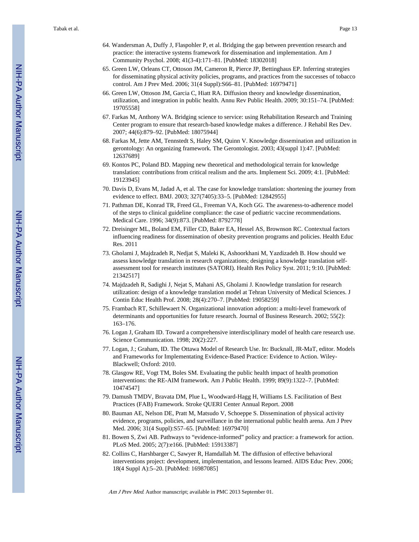- 64. Wandersman A, Duffy J, Flaspohler P, et al. Bridging the gap between prevention research and practice: the interactive systems framework for dissemination and implementation. Am J Community Psychol. 2008; 41(3-4):171–81. [PubMed: 18302018]
- 65. Green LW, Orleans CT, Ottoson JM, Cameron R, Pierce JP, Bettinghaus EP. Inferring strategies for disseminating physical activity policies, programs, and practices from the successes of tobacco control. Am J Prev Med. 2006; 31(4 Suppl):S66–81. [PubMed: 16979471]
- 66. Green LW, Ottoson JM, Garcia C, Hiatt RA. Diffusion theory and knowledge dissemination, utilization, and integration in public health. Annu Rev Public Health. 2009; 30:151–74. [PubMed: 19705558]
- 67. Farkas M, Anthony WA. Bridging science to service: using Rehabilitation Research and Training Center program to ensure that research-based knowledge makes a difference. J Rehabil Res Dev. 2007; 44(6):879–92. [PubMed: 18075944]
- 68. Farkas M, Jette AM, Tennstedt S, Haley SM, Quinn V. Knowledge dissemination and utilization in gerontology: An organizing framework. The Gerontologist. 2003; 43(suppl 1):47. [PubMed: 12637689]
- 69. Kontos PC, Poland BD. Mapping new theoretical and methodological terrain for knowledge translation: contributions from critical realism and the arts. Implement Sci. 2009; 4:1. [PubMed: 19123945]
- 70. Davis D, Evans M, Jadad A, et al. The case for knowledge translation: shortening the journey from evidence to effect. BMJ. 2003; 327(7405):33–5. [PubMed: 12842955]
- 71. Pathman DE, Konrad TR, Freed GL, Freeman VA, Koch GG. The awareness-to-adherence model of the steps to clinical guideline compliance: the case of pediatric vaccine recommendations. Medical Care. 1996; 34(9):873. [PubMed: 8792778]
- 72. Dreisinger ML, Boland EM, Filler CD, Baker EA, Hessel AS, Brownson RC. Contextual factors influencing readiness for dissemination of obesity prevention programs and policies. Health Educ Res. 2011
- 73. Gholami J, Majdzadeh R, Nedjat S, Maleki K, Ashoorkhani M, Yazdizadeh B. How should we assess knowledge translation in research organizations; designing a knowledge translation selfassessment tool for research institutes (SATORI). Health Res Policy Syst. 2011; 9:10. [PubMed: 21342517]
- 74. Majdzadeh R, Sadighi J, Nejat S, Mahani AS, Gholami J. Knowledge translation for research utilization: design of a knowledge translation model at Tehran University of Medical Sciences. J Contin Educ Health Prof. 2008; 28(4):270–7. [PubMed: 19058259]
- 75. Frambach RT, Schillewaert N. Organizational innovation adoption: a multi-level framework of determinants and opportunities for future research. Journal of Business Research. 2002; 55(2): 163–176.
- 76. Logan J, Graham ID. Toward a comprehensive interdisciplinary model of health care research use. Science Communication. 1998; 20(2):227.
- 77. Logan, J.; Graham, ID. The Ottawa Model of Research Use. In: Bucknall, JR-MaT, editor. Models and Frameworks for Implementating Evidence-Based Practice: Evidence to Action. Wiley-Blackwell; Oxford: 2010.
- 78. Glasgow RE, Vogt TM, Boles SM. Evaluating the public health impact of health promotion interventions: the RE-AIM framework. Am J Public Health. 1999; 89(9):1322–7. [PubMed: 10474547]
- 79. Damush TMDV, Bravata DM, Plue L, Woodward-Hagg H, Williams LS. Facilitation of Best Practices (FAB) Framework. Stroke QUERI Center Annual Report. 2008
- 80. Bauman AE, Nelson DE, Pratt M, Matsudo V, Schoeppe S. Dissemination of physical activity evidence, programs, policies, and surveillance in the international public health arena. Am J Prev Med. 2006; 31(4 Suppl):S57–65. [PubMed: 16979470]
- 81. Bowen S, Zwi AB. Pathways to "evidence-informed" policy and practice: a framework for action. PLoS Med. 2005; 2(7):e166. [PubMed: 15913387]
- 82. Collins C, Harshbarger C, Sawyer R, Hamdallah M. The diffusion of effective behavioral interventions project: development, implementation, and lessons learned. AIDS Educ Prev. 2006; 18(4 Suppl A):5–20. [PubMed: 16987085]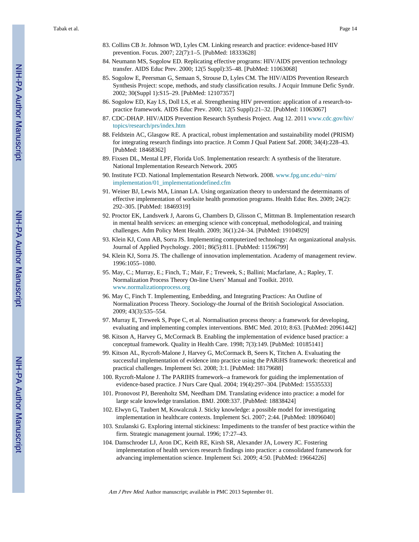- 83. Collins CB Jr. Johnson WD, Lyles CM. Linking research and practice: evidence-based HIV prevention. Focus. 2007; 22(7):1–5. [PubMed: 18333628]
- 84. Neumann MS, Sogolow ED. Replicating effective programs: HIV/AIDS prevention technology transfer. AIDS Educ Prev. 2000; 12(5 Suppl):35–48. [PubMed: 11063068]
- 85. Sogolow E, Peersman G, Semaan S, Strouse D, Lyles CM. The HIV/AIDS Prevention Research Synthesis Project: scope, methods, and study classification results. J Acquir Immune Defic Syndr. 2002; 30(Suppl 1):S15–29. [PubMed: 12107357]
- 86. Sogolow ED, Kay LS, Doll LS, et al. Strengthening HIV prevention: application of a research-topractice framework. AIDS Educ Prev. 2000; 12(5 Suppl):21–32. [PubMed: 11063067]
- 87. CDC-DHAP. HIV/AIDS Prevention Research Synthesis Project. Aug 12. 2011 [www.cdc.gov/hiv/](http://www.cdc.gov/hiv/topics/research/prs/index.htm) [topics/research/prs/index.htm](http://www.cdc.gov/hiv/topics/research/prs/index.htm)
- 88. Feldstein AC, Glasgow RE. A practical, robust implementation and sustainability model (PRISM) for integrating research findings into practice. Jt Comm J Qual Patient Saf. 2008; 34(4):228–43. [PubMed: 18468362]
- 89. Fixsen DL, Mental LPF, Florida UoS. Implementation research: A synthesis of the literature. National Implementation Research Network. 2005
- 90. Institute FCD. National Implementation Research Network. 2008. [www.fpg.unc.edu/~nirn/](http://www.fpg.unc.edu/~nirn/implementation/01_implementationdefined.cfm) [implementation/01\\_implementationdefined.cfm](http://www.fpg.unc.edu/~nirn/implementation/01_implementationdefined.cfm)
- 91. Weiner BJ, Lewis MA, Linnan LA. Using organization theory to understand the determinants of effective implementation of worksite health promotion programs. Health Educ Res. 2009; 24(2): 292–305. [PubMed: 18469319]
- 92. Proctor EK, Landsverk J, Aarons G, Chambers D, Glisson C, Mittman B. Implementation research in mental health services: an emerging science with conceptual, methodological, and training challenges. Adm Policy Ment Health. 2009; 36(1):24–34. [PubMed: 19104929]
- 93. Klein KJ, Conn AB, Sorra JS. Implementing computerized technology: An organizational analysis. Journal of Applied Psychology. 2001; 86(5):811. [PubMed: 11596799]
- 94. Klein KJ, Sorra JS. The challenge of innovation implementation. Academy of management review. 1996:1055–1080.
- 95. May, C.; Murray, E.; Finch, T.; Mair, F.; Treweek, S.; Ballini; Macfarlane, A.; Rapley, T. Normalization Process Theory On-line Users' Manual and Toolkit. 2010. [www.normalizationprocess.org](http://www.normalizationprocess.org)
- 96. May C, Finch T. Implementing, Embedding, and Integrating Practices: An Outline of Normalization Process Theory. Sociology-the Journal of the British Sociological Association. 2009; 43(3):535–554.
- 97. Murray E, Treweek S, Pope C, et al. Normalisation process theory: a framework for developing, evaluating and implementing complex interventions. BMC Med. 2010; 8:63. [PubMed: 20961442]
- 98. Kitson A, Harvey G, McCormack B. Enabling the implementation of evidence based practice: a conceptual framework. Quality in Health Care. 1998; 7(3):149. [PubMed: 10185141]
- 99. Kitson AL, Rycroft-Malone J, Harvey G, McCormack B, Seers K, Titchen A. Evaluating the successful implementation of evidence into practice using the PARiHS framework: theoretical and practical challenges. Implement Sci. 2008; 3:1. [PubMed: 18179688]
- 100. Rycroft-Malone J. The PARIHS framework--a framework for guiding the implementation of evidence-based practice. J Nurs Care Qual. 2004; 19(4):297–304. [PubMed: 15535533]
- 101. Pronovost PJ, Berenholtz SM, Needham DM. Translating evidence into practice: a model for large scale knowledge translation. BMJ. 2008:337. [PubMed: 18838424]
- 102. Elwyn G, Taubert M, Kowalczuk J. Sticky knowledge: a possible model for investigating implementation in healthcare contexts. Implement Sci. 2007; 2:44. [PubMed: 18096040]
- 103. Szulanski G. Exploring internal stickiness: Impediments to the transfer of best practice within the firm. Strategic management journal. 1996; 17:27–43.
- 104. Damschroder LJ, Aron DC, Keith RE, Kirsh SR, Alexander JA, Lowery JC. Fostering implementation of health services research findings into practice: a consolidated framework for advancing implementation science. Implement Sci. 2009; 4:50. [PubMed: 19664226]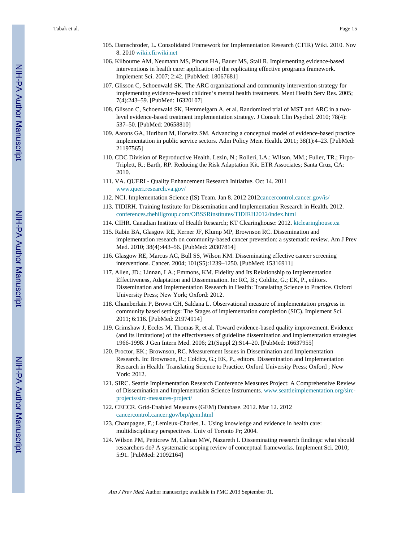- 105. Damschroder, L. Consolidated Framework for Implementation Research (CFIR) Wiki. 2010. Nov 8. 2010 [wiki.cfirwiki.net](http://wiki.cfirwiki.net)
- 106. Kilbourne AM, Neumann MS, Pincus HA, Bauer MS, Stall R. Implementing evidence-based interventions in health care: application of the replicating effective programs framework. Implement Sci. 2007; 2:42. [PubMed: 18067681]
- 107. Glisson C, Schoenwald SK. The ARC organizational and community intervention strategy for implementing evidence-based children's mental health treatments. Ment Health Serv Res. 2005; 7(4):243–59. [PubMed: 16320107]
- 108. Glisson C, Schoenwald SK, Hemmelgarn A, et al. Randomized trial of MST and ARC in a twolevel evidence-based treatment implementation strategy. J Consult Clin Psychol. 2010; 78(4): 537–50. [PubMed: 20658810]
- 109. Aarons GA, Hurlburt M, Horwitz SM. Advancing a conceptual model of evidence-based practice implementation in public service sectors. Adm Policy Ment Health. 2011; 38(1):4–23. [PubMed: 21197565]
- 110. CDC Division of Reproductive Health. Lezin, N.; Rolleri, LA.; Wilson, MM.; Fuller, TR.; Firpo-Triplett, R.; Barth, RP. Reducing the Risk Adaptation Kit. ETR Associates; Santa Cruz, CA: 2010.
- 111. VA. QUERI Quality Enhancement Research Initiative. Oct 14. 2011 [www.queri.research.va.gov/](http://www.queri.research.va.gov/)
- 112. NCI. Implementation Science (IS) Team. Jan 8. 2012 201[2cancercontrol.cancer.gov/is/](http://cancercontrol.cancer.gov/is/)
- 113. TIDIRH. Training Institute for Dissemination and Implementation Research in Health. 2012. [conferences.thehillgroup.com/OBSSRinstitutes/TIDIRH2012/index.html](http://conferences.thehillgroup.com/OBSSRinstitutes/TIDIRH2012/index.html)
- 114. CIHR. Canadian Institute of Health Research; KT Clearinghouse: 2012. [ktclearinghouse.ca](http://ktclearinghouse.ca)
- 115. Rabin BA, Glasgow RE, Kerner JF, Klump MP, Brownson RC. Dissemination and implementation research on community-based cancer prevention: a systematic review. Am J Prev Med. 2010; 38(4):443–56. [PubMed: 20307814]
- 116. Glasgow RE, Marcus AC, Bull SS, Wilson KM. Disseminating effective cancer screening interventions. Cancer. 2004; 101(S5):1239–1250. [PubMed: 15316911]
- 117. Allen, JD.; Linnan, LA.; Emmons, KM. Fidelity and Its Relationship to Implementation Effectiveness, Adaptation and Dissemination. In: RC, B.; Colditz, G.; EK, P., editors. Dissemination and Implementation Research in Health: Translating Science to Practice. Oxford University Press; New York; Oxford: 2012.
- 118. Chamberlain P, Brown CH, Saldana L. Observational measure of implementation progress in community based settings: The Stages of implementation completion (SIC). Implement Sci. 2011; 6:116. [PubMed: 21974914]
- 119. Grimshaw J, Eccles M, Thomas R, et al. Toward evidence-based quality improvement. Evidence (and its limitations) of the effectiveness of guideline dissemination and implementation strategies 1966-1998. J Gen Intern Med. 2006; 21(Suppl 2):S14–20. [PubMed: 16637955]
- 120. Proctor, EK.; Brownson, RC. Measurement Issues in Dissemination and Implementation Research. In: Brownson, R.; Colditz, G.; EK, P., editors. Dissemination and Implementation Research in Health: Translating Science to Practice. Oxford University Press; Oxford ; New York: 2012.
- 121. SIRC. Seattle Implementation Research Conference Measures Project: A Comprehensive Review of Dissemination and Implementation Science Instruments. [www.seattleimplementation.org/sirc](http://www.seattleimplementation.org/sirc-projects/sirc-measures-project/)[projects/sirc-measures-project/](http://www.seattleimplementation.org/sirc-projects/sirc-measures-project/)
- 122. CECCR. Grid-Enabled Measures (GEM) Database. 2012. Mar 12. 2012 [cancercontrol.cancer.gov/brp/gem.html](http://cancercontrol.cancer.gov/brp/gem.html)
- 123. Champagne, F.; Lemieux-Charles, L. Using knowledge and evidence in health care: multidisciplinary perspectives. Univ of Toronto Pr; 2004.
- 124. Wilson PM, Petticrew M, Calnan MW, Nazareth I. Disseminating research findings: what should researchers do? A systematic scoping review of conceptual frameworks. Implement Sci. 2010; 5:91. [PubMed: 21092164]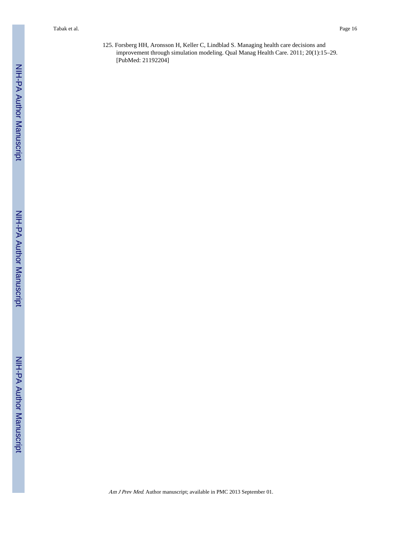125. Forsberg HH, Aronsson H, Keller C, Lindblad S. Managing health care decisions and improvement through simulation modeling. Qual Manag Health Care. 2011; 20(1):15–29. [PubMed: 21192204]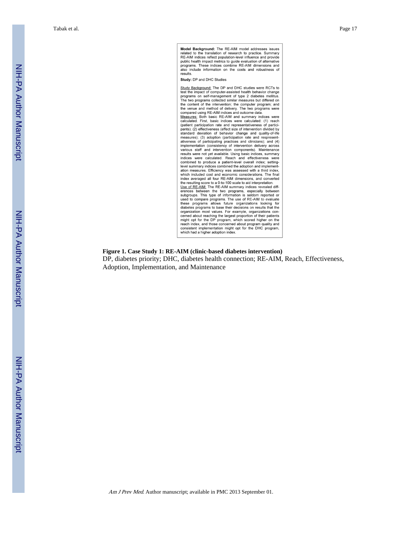Model Background: The RE-AIM model addresses issues related to the translation of research to practice. Summary RE-AIM indices reflect population-level influence and provide public health impact metrics to guide evaluation of alternative programs. These indices combine RE-A also include information on the costs and robustness of results.

Study: DP and DHC Studies

Study Background: The DP and DHC studies were RCTs to<br>test the impact of computer-assisted health behavior change<br>programs on self-management of type 2 diabetes mellitus.<br>The two programs collected similar measures but dif The content of the intervention; the computer program; and<br>the venue and method of delivery. The two programs were<br>compared using RE-AIM indices and outcome data. Measures: Both basic RE-AIM and summary indices were<br>calculated. First, basic indices were calculated: (1) reach<br>(patient participation rate and representativeness of participants); (2) effectiveness (effect size of intervention divided by<br>standard deviation of behavior change and quality-of-life<br>measures); (3) adoption (participation rate and respresent-<br>ativeness of participating practices a pants): (2) effectiveness (effect size of intervention divided by level summary indices combined the adoption and implement-<br>ation measures. Efficiency was assessed with a third index,<br>which included cost and economic considerations. The final<br>index averaged all four RE-AIM summary indic Formed about reaching the largest proportion of their patients<br>might opt for the DP program, which scored higher on the<br>reach index, and those concerned about program quality and consistent implementation might opt for the DHC program, which had a higher adoption index

**Figure 1. Case Study 1: RE-AIM (clinic-based diabetes intervention)** DP, diabetes priority; DHC, diabetes health connection; RE-AIM, Reach, Effectiveness, Adoption, Implementation, and Maintenance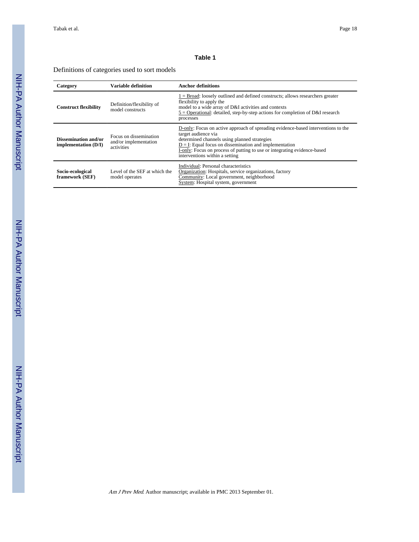#### **Table 1**

#### Definitions of categories used to sort models

| Category                                       | Variable definition                                           | <b>Anchor definitions</b>                                                                                                                                                                                                                                                                                                           |
|------------------------------------------------|---------------------------------------------------------------|-------------------------------------------------------------------------------------------------------------------------------------------------------------------------------------------------------------------------------------------------------------------------------------------------------------------------------------|
| <b>Construct flexibility</b>                   | Definition/flexibility of<br>model constructs                 | $1 =$ Broad: loosely outlined and defined constructs; allows researchers greater<br>flexibility to apply the<br>model to a wide array of D&I activities and contexts<br>$5 =$ Operational: detailed, step-by-step actions for completion of D&I research<br>processes                                                               |
| Dissemination and/or<br>implementation $(D/I)$ | Focus on dissemination<br>and/or implementation<br>activities | D-only: Focus on active approach of spreading evidence-based interventions to the<br>target audience via<br>determined channels using planned strategies<br>$D = I$ : Equal focus on dissemination and implementation<br>I-only: Focus on process of putting to use or integrating evidence-based<br>interventions within a setting |
| Socio-ecological<br>framework (SEF)            | Level of the SEF at which the<br>model operates               | Individual: Personal characteristics<br>Organization: Hospitals, service organizations, factory<br>Community: Local government, neighborhood<br>System: Hospital system, government                                                                                                                                                 |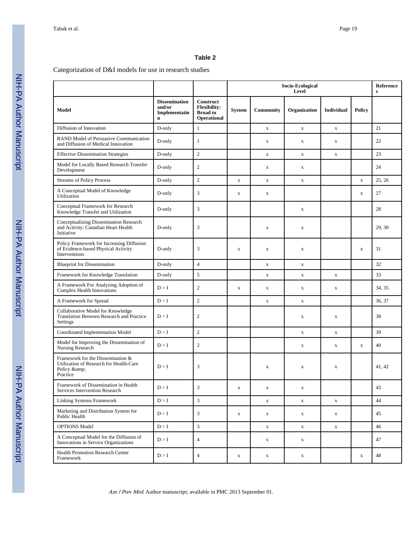#### **Table 2**

#### Categorization of D&I models for use in research studies

|                                                                                                      |                                                                |                                                                    | Socio-Ecological<br>Level |             |              |                   |             | Reference<br>$\mathbf{s}$ |
|------------------------------------------------------------------------------------------------------|----------------------------------------------------------------|--------------------------------------------------------------------|---------------------------|-------------|--------------|-------------------|-------------|---------------------------|
| Model                                                                                                | <b>Dissemination</b><br>and/or<br>Implementatio<br>$\mathbf n$ | Construct<br><b>Flexibility:</b><br><b>Broad to</b><br>Operational | <b>System</b>             | Community   | Organization | <b>Individual</b> | Policy      |                           |
| Diffusion of Innovation                                                                              | D-only                                                         | $\mathbf{1}$                                                       |                           | $\mathbf X$ | $\mathbf x$  | $\mathbf X$       |             | 21                        |
| RAND Model of Persuasive Communication<br>and Diffusion of Medical Innovation                        | D-only                                                         | 1                                                                  |                           | $\mathbf x$ | $\mathbf X$  | $\mathbf x$       |             | 22                        |
| <b>Effective Dissemination Strategies</b>                                                            | D-only                                                         | $\sqrt{2}$                                                         |                           | X           | $\mathbf X$  | $\mathbf X$       |             | 23                        |
| Model for Locally Based Research Transfer<br>Development                                             | D-only                                                         | 2                                                                  |                           | X           | $\mathbf x$  |                   |             | 24                        |
| <b>Streams of Policy Process</b>                                                                     | D-only                                                         | $\overline{2}$                                                     | $\mathbf x$               | $\mathbf X$ | $\mathbf X$  |                   | $\mathbf x$ | 25, 26                    |
| A Conceptual Model of Knowledge<br>Utilization                                                       | D-only                                                         | 3                                                                  | $\mathbf X$               | X           |              |                   | $\mathbf x$ | 27                        |
| Conceptual Framework for Research<br>Knowledge Transfer and Utilization                              | D-only                                                         | 3                                                                  |                           |             | $\mathbf X$  |                   |             | 28                        |
| Conceptualizing Dissemination Research<br>and Activity: Canadian Heart Health<br>Initiative          | D-only                                                         | 3                                                                  |                           | X           | $\mathbf X$  |                   |             | 29, 30                    |
| Policy Framework for Increasing Diffusion<br>of Evidence-based Physical Activity<br>Interventions    | D-only                                                         | 3                                                                  | x                         | X           | X            |                   | $\mathbf X$ | 31                        |
| <b>Blueprint for Dissemination</b>                                                                   | D-only                                                         | $\overline{4}$                                                     |                           | X           | $\mathbf X$  |                   |             | 32                        |
| Framework for Knowledge Translation                                                                  | D-only                                                         | 5                                                                  |                           | $\mathbf X$ | $\mathbf X$  | $\mathbf x$       |             | 33                        |
| A Framework For Analyzing Adoption of<br>Complex Health Innovations                                  | D > I                                                          | $\overline{2}$                                                     | X                         | X           | $\mathbf X$  | X                 |             | 34, 35                    |
| A Framework for Spread                                                                               | D > I                                                          | $\sqrt{2}$                                                         |                           | $\mathbf X$ | $\mathbf x$  |                   |             | 36, 37                    |
| Collaborative Model for Knowledge<br>Translation Between Research and Practice<br>Settings           | D > I                                                          | 2                                                                  |                           |             | X            | $\mathbf X$       |             | 38                        |
| Coordinated Implementation Model                                                                     | D > I                                                          | $\overline{2}$                                                     |                           |             | $\mathbf X$  | $\mathbf x$       |             | 39                        |
| Model for Improving the Dissemination of<br>Nursing Research                                         | D > I                                                          | 2                                                                  |                           |             | $\mathbf X$  | $\mathbf X$       | $\mathbf X$ | 40                        |
| Framework for the Dissemination &<br>Utilization of Research for Health-Care<br>Policy &<br>Practice | D > I                                                          | 3                                                                  |                           | X           | $\mathbf x$  | $\mathbf X$       |             | 41, 42                    |
| Framework of Dissemination in Health<br>Services Intervention Research                               | $\mathbf{D} > \mathbf{I}$                                      | 3                                                                  | X                         | X           | X            |                   |             | 43                        |
| <b>Linking Systems Framework</b>                                                                     | D > I                                                          | 3                                                                  |                           | $\mathbf X$ | $\mathbf x$  | $\mathbf X$       |             | 44                        |
| Marketing and Distribution System for<br>Public Health                                               | D > I                                                          | 3                                                                  | $\mathbf X$               | X           | $\mathbf X$  | X                 |             | 45                        |
| <b>OPTIONS</b> Model                                                                                 | D > I                                                          | $\mathfrak{Z}$                                                     |                           | $\mathbf X$ | $\mathbf x$  | $\mathbf X$       |             | 46                        |
| A Conceptual Model for the Diffusion of<br>Innovations in Service Organizations                      | D > I                                                          | $\overline{4}$                                                     |                           | $\mathbf X$ | $\mathbf X$  |                   |             | 47                        |
| Health Promotion Research Center<br>Framework                                                        | D > I                                                          | $\overline{4}$                                                     | $\mathbf X$               | $\mathbf X$ | $\mathbf X$  |                   | $\mathbf X$ | 48                        |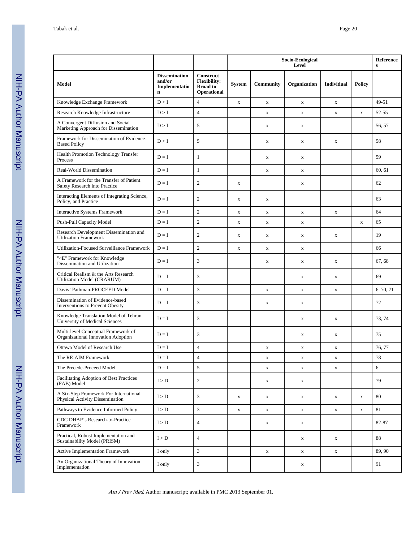|                                                                           |                                                                |                                                                           | Socio-Ecological<br>Level |             |              |                   |             | Reference<br>s |
|---------------------------------------------------------------------------|----------------------------------------------------------------|---------------------------------------------------------------------------|---------------------------|-------------|--------------|-------------------|-------------|----------------|
| Model                                                                     | <b>Dissemination</b><br>and/or<br>Implementatio<br>$\mathbf n$ | <b>Construct</b><br><b>Flexibility:</b><br><b>Broad</b> to<br>Operational | <b>System</b>             | Community   | Organization | <b>Individual</b> | Policy      |                |
| Knowledge Exchange Framework                                              | D > I                                                          | $\overline{4}$                                                            | $\mathbf X$               | $\mathbf X$ | $\mathbf X$  | $\mathbf X$       |             | 49-51          |
| Research Knowledge Infrastructure                                         | D > I                                                          | $\overline{4}$                                                            |                           | $\mathbf X$ | $\mathbf X$  | $\mathbf X$       | $\mathbf X$ | $52 - 55$      |
| A Convergent Diffusion and Social<br>Marketing Approach for Dissemination | D > I                                                          | 5                                                                         |                           | X           | X            |                   |             | 56, 57         |
| Framework for Dissemination of Evidence-<br><b>Based Policy</b>           | D > I                                                          | 5                                                                         |                           | X           | X            | X                 |             | 58             |
| <b>Health Promotion Technology Transfer</b><br>Process                    | $D = I$                                                        | 1                                                                         |                           | $\mathbf X$ | $\mathbf X$  |                   |             | 59             |
| Real-World Dissemination                                                  | $D = I$                                                        | $\mathbf{1}$                                                              |                           | $\mathbf X$ | $\mathbf X$  |                   |             | 60, 61         |
| A Framework for the Transfer of Patient<br>Safety Research into Practice  | $D = I$                                                        | $\overline{2}$                                                            | $\mathbf X$               |             | $\mathbf x$  |                   |             | 62             |
| Interacting Elements of Integrating Science,<br>Policy, and Practice      | $D = I$                                                        | $\overline{2}$                                                            | $\mathbf X$               | $\mathbf X$ |              |                   |             | 63             |
| <b>Interactive Systems Framework</b>                                      | $D = I$                                                        | $\overline{2}$                                                            | $\mathbf X$               | $\mathbf X$ | $\mathbf X$  | $\mathbf X$       |             | 64             |
| Push-Pull Capacity Model                                                  | $D = I$                                                        | $\overline{2}$                                                            | $\mathbf X$               | $\mathbf X$ | $\mathbf x$  |                   | $\mathbf X$ | 65             |
| Research Development Dissemination and<br><b>Utilization Framework</b>    | $D = I$                                                        | $\overline{2}$                                                            | $\mathbf X$               | $\mathbf X$ | $\mathbf x$  | $\mathbf x$       |             | 19             |
| Utilization-Focused Surveillance Framework                                | $D = I$                                                        | $\overline{2}$                                                            | $\mathbf X$               | $\mathbf X$ | $\mathbf X$  |                   |             | 66             |
| "4E" Framework for Knowledge<br>Dissemination and Utilization             | $D = I$                                                        | 3                                                                         |                           | X           | $\mathbf X$  | $\mathbf X$       |             | 67, 68         |
| Critical Realism & the Arts Research<br>Utilization Model (CRARUM)        | $D = I$                                                        | 3                                                                         |                           |             | X            | X                 |             | 69             |
| Davis' Pathman-PROCEED Model                                              | $D = I$                                                        | 3                                                                         |                           | $\mathbf X$ | $\mathbf X$  | $\mathbf x$       |             | 6, 70, 71      |
| Dissemination of Evidence-based<br>Interventions to Prevent Obesity       | $D = I$                                                        | 3                                                                         |                           | $\mathbf X$ | $\mathbf x$  |                   |             | 72             |
| Knowledge Translation Model of Tehran<br>University of Medical Sciences   | $D = I$                                                        | 3                                                                         |                           |             | X            | X                 |             | 73, 74         |
| Multi-level Conceptual Framework of<br>Organizational Innovation Adoption | $D = I$                                                        | 3                                                                         |                           |             | X            | X                 |             | 75             |
| Ottawa Model of Research Use                                              | $D = I$                                                        | $\overline{4}$                                                            |                           | $\mathbf X$ | $\mathbf x$  | $\mathbf x$       |             | 76, 77         |
| The RE-AIM Framework                                                      | $D = I$                                                        | $\overline{4}$                                                            |                           | X           | X            | X                 |             | 78             |
| The Precede-Proceed Model                                                 | $D = I$                                                        | 5                                                                         |                           | $\mathbf X$ | $\mathbf x$  | $\mathbf x$       |             | 6              |
| <b>Facilitating Adoption of Best Practices</b><br>(FAB) Model             | I > D                                                          | $\overline{2}$                                                            |                           | $\mathbf X$ | $\mathbf X$  |                   |             | 79             |
| A Six-Step Framework For International<br>Physical Activity Dissemination | I > D                                                          | 3                                                                         | $\mathbf X$               | $\mathbf X$ | $\mathbf X$  | $\mathbf X$       | $\mathbf X$ | 80             |
| Pathways to Evidence Informed Policy                                      | I > D                                                          | 3                                                                         | $\mathbf X$               | $\mathbf X$ | $\mathbf x$  | $\mathbf X$       | $\mathbf X$ | 81             |
| CDC DHAP's Research-to-Practice<br>Framework                              | I > D                                                          | $\overline{4}$                                                            |                           | $\mathbf X$ | $\mathbf X$  |                   |             | 82-87          |
| Practical, Robust Implementation and<br>Sustainability Model (PRISM)      | I > D                                                          | $\overline{4}$                                                            |                           |             | $\mathbf X$  | $\mathbf X$       |             | 88             |
| Active Implementation Framework                                           | I only                                                         | 3                                                                         |                           | $\mathbf X$ | $\mathbf x$  | $\mathbf x$       |             | 89, 90         |
| An Organizational Theory of Innovation<br>Implementation                  | I only                                                         | 3                                                                         |                           |             | X            |                   |             | 91             |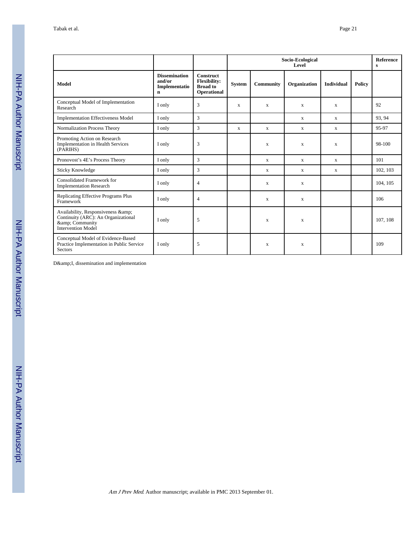|                                                                                                                   |                                                                |                                                                           | Socio-Ecological<br>Level |              |              |                   | Reference<br>$\mathbf{s}$ |          |
|-------------------------------------------------------------------------------------------------------------------|----------------------------------------------------------------|---------------------------------------------------------------------------|---------------------------|--------------|--------------|-------------------|---------------------------|----------|
| Model                                                                                                             | <b>Dissemination</b><br>and/or<br>Implementatio<br>$\mathbf n$ | <b>Construct</b><br><b>Flexibility:</b><br><b>Broad to</b><br>Operational | <b>System</b>             | Community    | Organization | <b>Individual</b> | Policy                    |          |
| Conceptual Model of Implementation<br>Research                                                                    | I only                                                         | 3                                                                         | X                         | X            | $\mathbf x$  | X                 |                           | 92       |
| <b>Implementation Effectiveness Model</b>                                                                         | I only                                                         | 3                                                                         |                           |              | $\mathbf X$  | $\mathbf X$       |                           | 93, 94   |
| Normalization Process Theory                                                                                      | I only                                                         | 3                                                                         | X                         | $\mathbf{x}$ | $\mathbf x$  | $\mathbf x$       |                           | 95-97    |
| Promoting Action on Research<br>Implementation in Health Services<br>(PARIHS)                                     | I only                                                         | 3                                                                         |                           | X            | X            | X                 |                           | 98-100   |
| Pronovost's 4E's Process Theory                                                                                   | I only                                                         | 3                                                                         |                           | X            | X            | X                 |                           | 101      |
| <b>Sticky Knowledge</b>                                                                                           | I only                                                         | 3                                                                         |                           | X            | X            | X                 |                           | 102, 103 |
| <b>Consolidated Framework for</b><br><b>Implementation Research</b>                                               | I only                                                         | $\overline{4}$                                                            |                           | X            | X            |                   |                           | 104, 105 |
| Replicating Effective Programs Plus<br>Framework                                                                  | I only                                                         | $\overline{4}$                                                            |                           | X            | $\mathbf X$  |                   |                           | 106      |
| Availability, Responsiveness &<br>Continuity (ARC): An Organizational<br>& Community<br><b>Intervention Model</b> | I only                                                         | 5                                                                         |                           | X            | X            |                   |                           | 107, 108 |
| Conceptual Model of Evidence-Based<br>Practice Implementation in Public Service<br>Sectors                        | I only                                                         | 5                                                                         |                           | X            | X            |                   |                           | 109      |

D&I, dissemination and implementation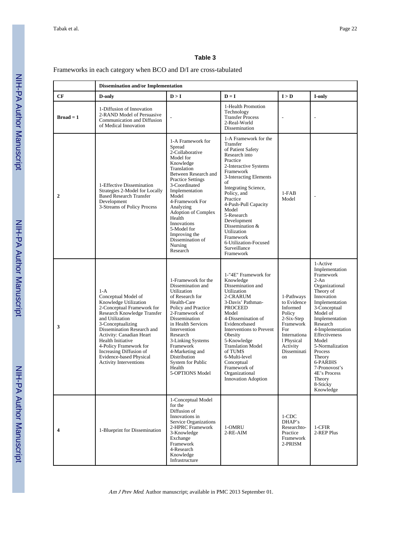#### **Table 3**

#### Frameworks in each category when BCO and D/I are cross-tabulated

|             | <b>Dissemination and/or Implementation</b>                                                                                                                                                                                                                                                                                                                 |                                                                                                                                                                                                                                                                                                                                                                  |                                                                                                                                                                                                                                                                                                                                                                                   |                                                                                                                                                  |                                                                                                                                                                                                                                                                                                                                                  |  |  |
|-------------|------------------------------------------------------------------------------------------------------------------------------------------------------------------------------------------------------------------------------------------------------------------------------------------------------------------------------------------------------------|------------------------------------------------------------------------------------------------------------------------------------------------------------------------------------------------------------------------------------------------------------------------------------------------------------------------------------------------------------------|-----------------------------------------------------------------------------------------------------------------------------------------------------------------------------------------------------------------------------------------------------------------------------------------------------------------------------------------------------------------------------------|--------------------------------------------------------------------------------------------------------------------------------------------------|--------------------------------------------------------------------------------------------------------------------------------------------------------------------------------------------------------------------------------------------------------------------------------------------------------------------------------------------------|--|--|
| CF          | D-only                                                                                                                                                                                                                                                                                                                                                     | D > I                                                                                                                                                                                                                                                                                                                                                            | $D = I$                                                                                                                                                                                                                                                                                                                                                                           | I > D                                                                                                                                            | I-only                                                                                                                                                                                                                                                                                                                                           |  |  |
| $Broad = 1$ | 1-Diffusion of Innovation<br>2-RAND Model of Persuasive<br>Communication and Diffusion<br>of Medical Innovation                                                                                                                                                                                                                                            |                                                                                                                                                                                                                                                                                                                                                                  | 1-Health Promotion<br>Technology<br><b>Transfer Process</b><br>2-Real-World<br>Dissemination                                                                                                                                                                                                                                                                                      |                                                                                                                                                  |                                                                                                                                                                                                                                                                                                                                                  |  |  |
| 2           | 1-Effective Dissemination<br>Strategies 2-Model for Locally<br><b>Based Research Transfer</b><br>Development<br>3-Streams of Policy Process                                                                                                                                                                                                                | 1-A Framework for<br>Spread<br>2-Collaborative<br>Model for<br>Knowledge<br>Translation<br>Between Research and<br><b>Practice Settings</b><br>3-Coordinated<br>Implementation<br>Model<br>4-Framework For<br>Analyzing<br><b>Adoption of Complex</b><br>Health<br><b>Innovations</b><br>5-Model for<br>Improving the<br>Dissemination of<br>Nursing<br>Research | 1-A Framework for the<br>Transfer<br>of Patient Safety<br>Research into<br>Practice<br>2-Interactive Systems<br>Framework<br>3-Interacting Elements<br>of<br>Integrating Science,<br>Policy, and<br>Practice<br>4-Push-Pull Capacity<br>Model<br>5-Research<br>Development<br>Dissemination $&$<br>Utilization<br>Framework<br>6-Utilization-Focused<br>Surveillance<br>Framework | $1-FAB$<br>Model                                                                                                                                 |                                                                                                                                                                                                                                                                                                                                                  |  |  |
| 3           | $1-A$<br>Conceptual Model of<br>Knowledge Utilization<br>2-Conceptual Framework for<br>Research Knowledge Transfer<br>and Utilization<br>3-Conceptualizing<br>Dissemination Research and<br>Activity: Canadian Heart<br>Health Initiative<br>4-Policy Framework for<br>Increasing Diffusion of<br>Evidence-based Physical<br><b>Activity Interventions</b> | 1-Framework for the<br>Dissemination and<br>Utilization<br>of Research for<br>Health-Care<br>Policy and Practice<br>2-Framework of<br>Dissemination<br>in Health Services<br>Intervention<br>Research<br>3-Linking Systems<br>Framework<br>4-Marketing and<br>Distribution<br>System for Public<br>Health<br>5-OPTIONS Model                                     | 1-"4E" Framework for<br>Knowledge<br>Dissemination and<br>Utilization<br>2-CRARUM<br>3-Davis' Pathman-<br><b>PROCEED</b><br>Model<br>4-Dissemination of<br>Evidencebased<br>Interventions to Prevent<br>Obesity<br>5-Knowledge<br><b>Translation Model</b><br>of TUMS<br>6-Multi-level<br>Conceptual<br>Framework of<br>Organizational<br><b>Innovation Adoption</b>              | 1-Pathways<br>to Evidence<br>Informed<br>Policy<br>2-Six-Step<br>Framework<br>For<br>Internationa<br>1 Physical<br>Activity<br>Disseminati<br>on | 1-Active<br>Implementation<br>Framework<br>$2-An$<br>Organizational<br>Theory of<br>Innovation<br>Implementation<br>3-Conceptual<br>Model of<br>Implementation<br>Research<br>4-Implementation<br>Effectiveness<br>Model<br>5-Normalization<br>Process<br>Theory<br>6-PARIHS<br>7-Pronovost's<br>4E's Process<br>Theory<br>8-Sticky<br>Knowledge |  |  |
| 4           | 1-Blueprint for Dissemination                                                                                                                                                                                                                                                                                                                              | 1-Conceptual Model<br>for the<br>Diffusion of<br>Innovations in<br>Service Organizations<br>2-HPRC Framework<br>3-Knowledge<br>Exchange<br>Framework<br>4-Research<br>Knowledge<br>Infrastructure                                                                                                                                                                | 1-OMRU<br>2-RE-AIM                                                                                                                                                                                                                                                                                                                                                                | $1$ -CDC<br>DHAP's<br>Researchto-<br>Practice<br>Framework<br>2-PRISM                                                                            | 1-CFIR<br>2-REP Plus                                                                                                                                                                                                                                                                                                                             |  |  |